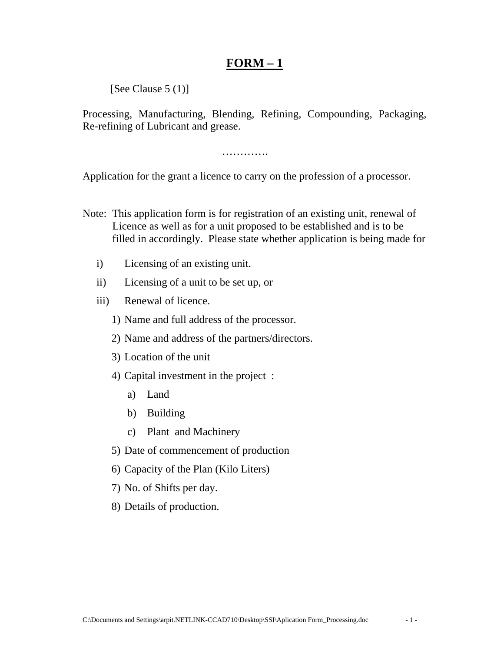## **FORM – 1**

[See Clause 5 (1)]

Processing, Manufacturing, Blending, Refining, Compounding, Packaging, Re-refining of Lubricant and grease.

………….

Application for the grant a licence to carry on the profession of a processor.

- Note: This application form is for registration of an existing unit, renewal of Licence as well as for a unit proposed to be established and is to be filled in accordingly. Please state whether application is being made for
	- i) Licensing of an existing unit.
	- ii) Licensing of a unit to be set up, or
	- iii) Renewal of licence.
		- 1) Name and full address of the processor.
		- 2) Name and address of the partners/directors.
		- 3) Location of the unit
		- 4) Capital investment in the project :
			- a) Land
			- b) Building
			- c) Plant and Machinery
		- 5) Date of commencement of production
		- 6) Capacity of the Plan (Kilo Liters)
		- 7) No. of Shifts per day.
		- 8) Details of production.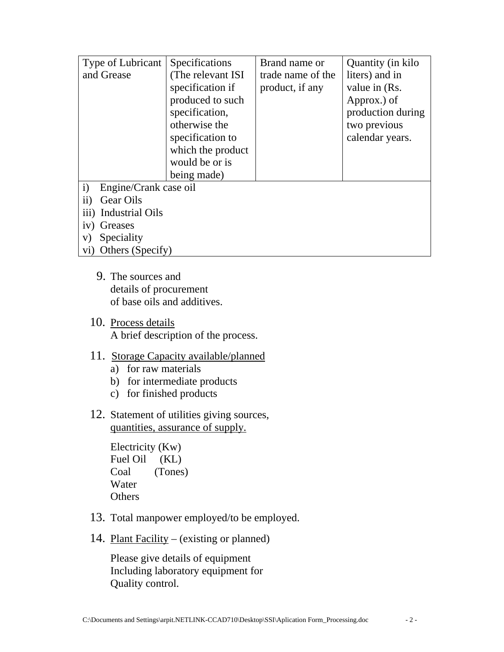| Type of Lubricant                     | Specifications    | Brand name or     | Quantity (in kilo |
|---------------------------------------|-------------------|-------------------|-------------------|
| and Grease                            | (The relevant ISI | trade name of the | liters) and in    |
|                                       | specification if  | product, if any   | value in (Rs.     |
|                                       | produced to such  |                   | Approx.) of       |
|                                       | specification,    |                   | production during |
|                                       | otherwise the     |                   | two previous      |
|                                       | specification to  |                   | calendar years.   |
|                                       | which the product |                   |                   |
|                                       | would be or is    |                   |                   |
|                                       | being made)       |                   |                   |
| $\mathbf{i}$<br>Engine/Crank case oil |                   |                   |                   |
| $\rm ii)$<br>Gear Oils                |                   |                   |                   |
| iii) Industrial Oils                  |                   |                   |                   |
| iv)<br>Greases                        |                   |                   |                   |
| Speciality<br>V)                      |                   |                   |                   |
| Others (Specify)<br>$\rm{vi})$        |                   |                   |                   |

- 9. The sources and details of procurement of base oils and additives.
- 10. Process details A brief description of the process.

## 11. Storage Capacity available/planned

- a) for raw materials
- b) for intermediate products
- c) for finished products
- 12. Statement of utilities giving sources, quantities, assurance of supply.

 Electricity (Kw) Fuel Oil (KL) Coal (Tones) Water **Others** 

- 13. Total manpower employed/to be employed.
- 14. Plant Facility (existing or planned)

 Please give details of equipment Including laboratory equipment for Quality control.